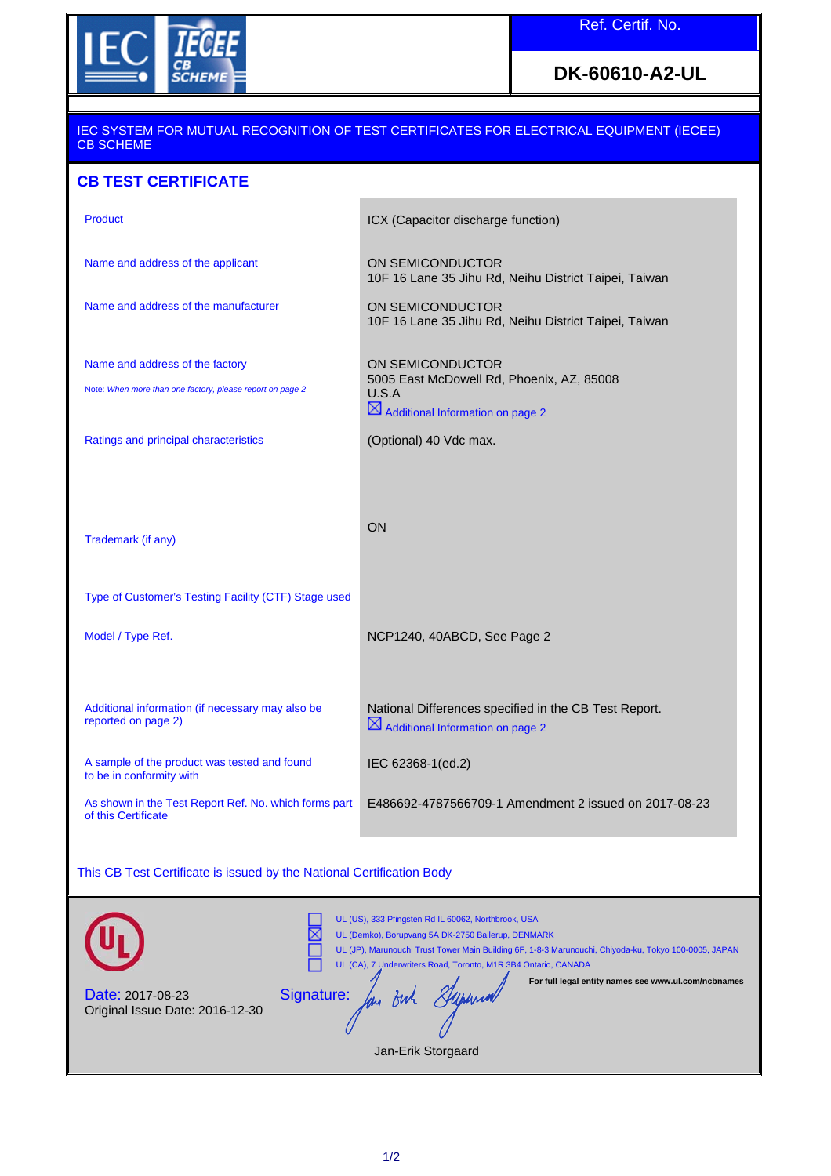

## **DK-60610-A2-UL**

#### IEC SYSTEM FOR MUTUAL RECOGNITION OF TEST CERTIFICATES FOR ELECTRICAL EQUIPMENT (IECEE) CB SCHEME

## **CB TEST CERTIFICATE**

| <b>Product</b>                                                                               | ICX (Capacitor discharge function)                                                                                     |
|----------------------------------------------------------------------------------------------|------------------------------------------------------------------------------------------------------------------------|
| Name and address of the applicant                                                            | ON SEMICONDUCTOR<br>10F 16 Lane 35 Jihu Rd, Neihu District Taipei, Taiwan                                              |
| Name and address of the manufacturer                                                         | ON SEMICONDUCTOR<br>10F 16 Lane 35 Jihu Rd, Neihu District Taipei, Taiwan                                              |
| Name and address of the factory<br>Note: When more than one factory, please report on page 2 | ON SEMICONDUCTOR<br>5005 East McDowell Rd, Phoenix, AZ, 85008<br>U.S.A<br>$\boxtimes$ Additional Information on page 2 |
| Ratings and principal characteristics                                                        | (Optional) 40 Vdc max.                                                                                                 |
| Trademark (if any)                                                                           | ON                                                                                                                     |
| Type of Customer's Testing Facility (CTF) Stage used                                         |                                                                                                                        |
| Model / Type Ref.                                                                            | NCP1240, 40ABCD, See Page 2                                                                                            |
| Additional information (if necessary may also be<br>reported on page 2)                      | National Differences specified in the CB Test Report.<br>$\boxtimes$ Additional Information on page 2                  |
| A sample of the product was tested and found<br>to be in conformity with                     | IEC 62368-1(ed.2)                                                                                                      |
| As shown in the Test Report Ref. No. which forms part<br>of this Certificate                 | E486692-4787566709-1 Amendment 2 issued on 2017-08-23                                                                  |

### This CB Test Certificate is issued by the National Certification Body

|                                                            | UL (US), 333 Pfingsten Rd IL 60062, Northbrook, USA<br>UL (Demko), Borupvang 5A DK-2750 Ballerup, DENMARK<br>UL (JP), Marunouchi Trust Tower Main Building 6F, 1-8-3 Marunouchi, Chiyoda-ku, Tokyo 100-0005, JAPAN<br>UL (CA), 7 Underwriters Road, Toronto, M1R 3B4 Ontario, CANADA |
|------------------------------------------------------------|--------------------------------------------------------------------------------------------------------------------------------------------------------------------------------------------------------------------------------------------------------------------------------------|
| <b>Date: 2017-08-23</b><br>Original Issue Date: 2016-12-30 | For full legal entity names see www.ul.com/ncbnames<br>Signature:<br>Jan-Erik Storgaard                                                                                                                                                                                              |